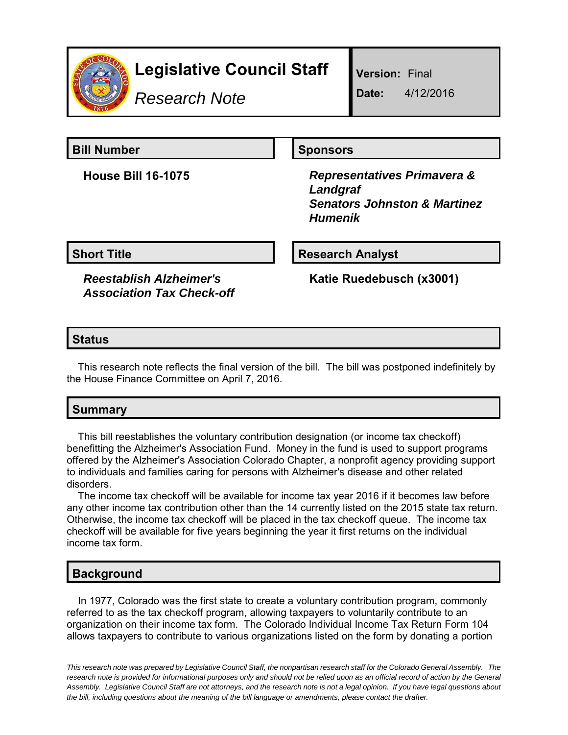

# **Legislative Council Staff**

*Research Note*

**Version:** Final

**Date:** 4/12/2016

## **Bill Number Sponsors**

**House Bill 16-1075** *Representatives Primavera & Landgraf Senators Johnston & Martinez Humenik*

**Short Title Research Analyst** 

*Reestablish Alzheimer's Association Tax Check-off*

**Katie Ruedebusch (x3001)**

### **Status**

This research note reflects the final version of the bill. The bill was postponed indefinitely by the House Finance Committee on April 7, 2016.

# **Summary**

This bill reestablishes the voluntary contribution designation (or income tax checkoff) benefitting the Alzheimer's Association Fund. Money in the fund is used to support programs offered by the Alzheimer's Association Colorado Chapter, a nonprofit agency providing support to individuals and families caring for persons with Alzheimer's disease and other related disorders.

The income tax checkoff will be available for income tax year 2016 if it becomes law before any other income tax contribution other than the 14 currently listed on the 2015 state tax return. Otherwise, the income tax checkoff will be placed in the tax checkoff queue. The income tax checkoff will be available for five years beginning the year it first returns on the individual income tax form.

### **Background**

In 1977, Colorado was the first state to create a voluntary contribution program, commonly referred to as the tax checkoff program, allowing taxpayers to voluntarily contribute to an organization on their income tax form. The Colorado Individual Income Tax Return Form 104 allows taxpayers to contribute to various organizations listed on the form by donating a portion

*This research note was prepared by Legislative Council Staff, the nonpartisan research staff for the Colorado General Assembly. The research note is provided for informational purposes only and should not be relied upon as an official record of action by the General Assembly. Legislative Council Staff are not attorneys, and the research note is not a legal opinion. If you have legal questions about the bill, including questions about the meaning of the bill language or amendments, please contact the drafter.*